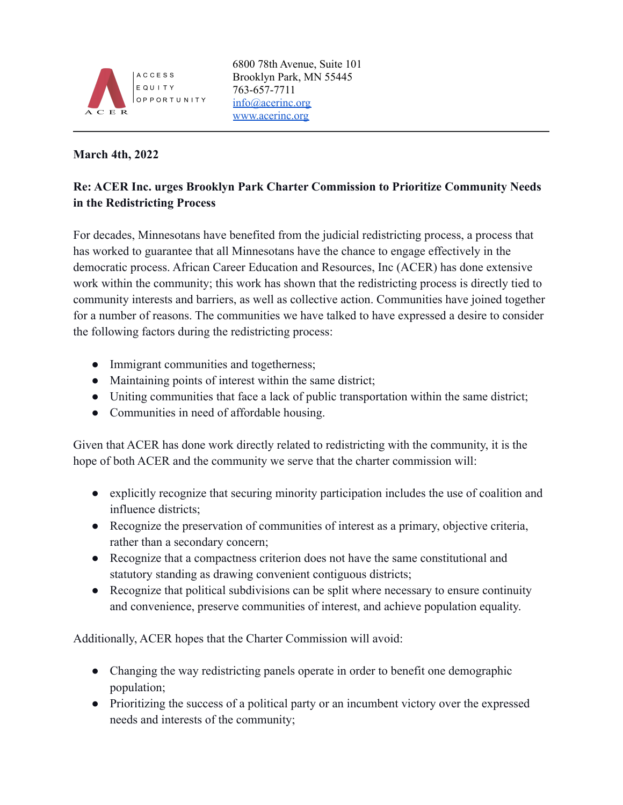

## **March 4th, 2022**

## **Re: ACER Inc. urges Brooklyn Park Charter Commission to Prioritize Community Needs in the Redistricting Process**

For decades, Minnesotans have benefited from the judicial redistricting process, a process that has worked to guarantee that all Minnesotans have the chance to engage effectively in the democratic process. African Career Education and Resources, Inc (ACER) has done extensive work within the community; this work has shown that the redistricting process is directly tied to community interests and barriers, as well as collective action. Communities have joined together for a number of reasons. The communities we have talked to have expressed a desire to consider the following factors during the redistricting process:

- Immigrant communities and togetherness;
- Maintaining points of interest within the same district;
- Uniting communities that face a lack of public transportation within the same district;
- Communities in need of affordable housing.

Given that ACER has done work directly related to redistricting with the community, it is the hope of both ACER and the community we serve that the charter commission will:

- explicitly recognize that securing minority participation includes the use of coalition and influence districts;
- Recognize the preservation of communities of interest as a primary, objective criteria, rather than a secondary concern;
- Recognize that a compactness criterion does not have the same constitutional and statutory standing as drawing convenient contiguous districts;
- Recognize that political subdivisions can be split where necessary to ensure continuity and convenience, preserve communities of interest, and achieve population equality.

Additionally, ACER hopes that the Charter Commission will avoid:

- Changing the way redistricting panels operate in order to benefit one demographic population;
- Prioritizing the success of a political party or an incumbent victory over the expressed needs and interests of the community;